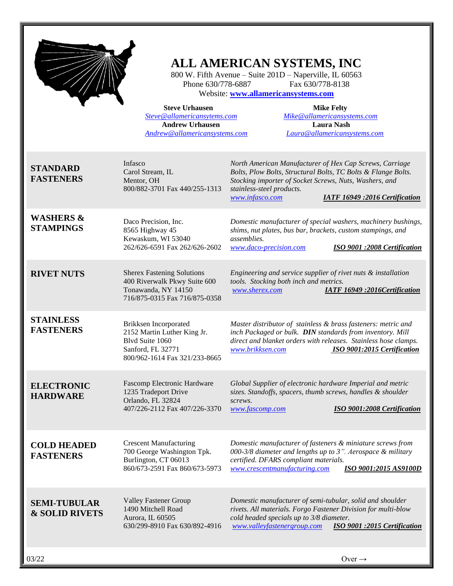